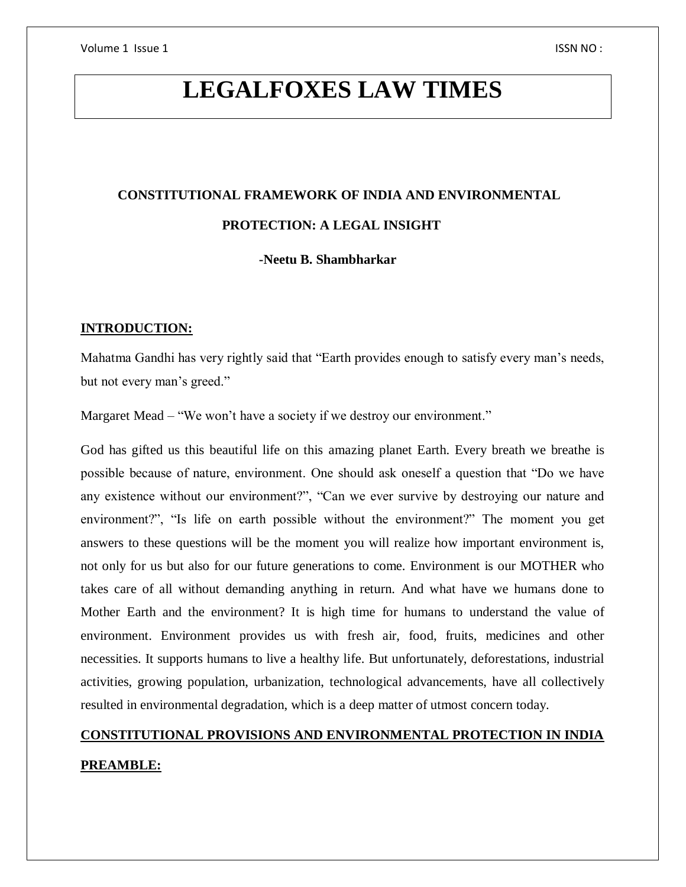# **LEGALFOXES LAW TIMES**

# **CONSTITUTIONAL FRAMEWORK OF INDIA AND ENVIRONMENTAL PROTECTION: A LEGAL INSIGHT**

 **-Neetu B. Shambharkar**

#### **INTRODUCTION:**

Mahatma Gandhi has very rightly said that "Earth provides enough to satisfy every man's needs, but not every man's greed."

Margaret Mead – "We won't have a society if we destroy our environment."

God has gifted us this beautiful life on this amazing planet Earth. Every breath we breathe is possible because of nature, environment. One should ask oneself a question that "Do we have any existence without our environment?", "Can we ever survive by destroying our nature and environment?", "Is life on earth possible without the environment?" The moment you get answers to these questions will be the moment you will realize how important environment is, not only for us but also for our future generations to come. Environment is our MOTHER who takes care of all without demanding anything in return. And what have we humans done to Mother Earth and the environment? It is high time for humans to understand the value of environment. Environment provides us with fresh air, food, fruits, medicines and other necessities. It supports humans to live a healthy life. But unfortunately, deforestations, industrial activities, growing population, urbanization, technological advancements, have all collectively resulted in environmental degradation, which is a deep matter of utmost concern today.

## **CONSTITUTIONAL PROVISIONS AND ENVIRONMENTAL PROTECTION IN INDIA PREAMBLE:**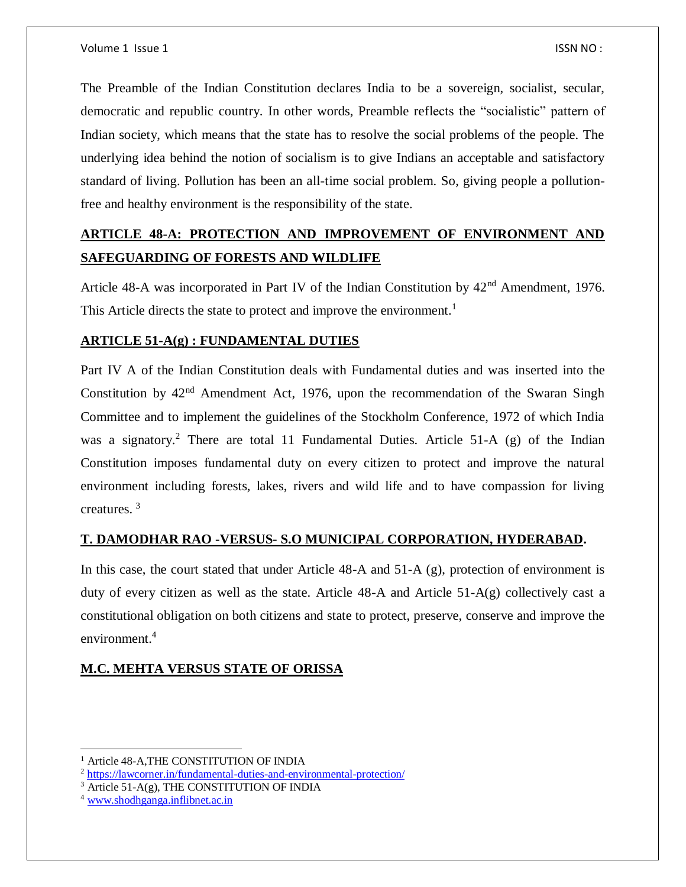The Preamble of the Indian Constitution declares India to be a sovereign, socialist, secular, democratic and republic country. In other words, Preamble reflects the "socialistic" pattern of Indian society, which means that the state has to resolve the social problems of the people. The underlying idea behind the notion of socialism is to give Indians an acceptable and satisfactory standard of living. Pollution has been an all-time social problem. So, giving people a pollutionfree and healthy environment is the responsibility of the state.

## **ARTICLE 48-A: PROTECTION AND IMPROVEMENT OF ENVIRONMENT AND SAFEGUARDING OF FORESTS AND WILDLIFE**

Article 48-A was incorporated in Part IV of the Indian Constitution by  $42<sup>nd</sup>$  Amendment, 1976. This Article directs the state to protect and improve the environment.<sup>1</sup>

#### **ARTICLE 51-A(g) : FUNDAMENTAL DUTIES**

Part IV A of the Indian Constitution deals with Fundamental duties and was inserted into the Constitution by  $42<sup>nd</sup>$  Amendment Act, 1976, upon the recommendation of the Swaran Singh Committee and to implement the guidelines of the Stockholm Conference, 1972 of which India was a signatory.<sup>2</sup> There are total 11 Fundamental Duties. Article 51-A (g) of the Indian Constitution imposes fundamental duty on every citizen to protect and improve the natural environment including forests, lakes, rivers and wild life and to have compassion for living creatures. <sup>3</sup>

#### **T. DAMODHAR RAO -VERSUS- S.O MUNICIPAL CORPORATION, HYDERABAD.**

In this case, the court stated that under Article 48-A and 51-A (g), protection of environment is duty of every citizen as well as the state. Article 48-A and Article 51-A(g) collectively cast a constitutional obligation on both citizens and state to protect, preserve, conserve and improve the environment.<sup>4</sup>

#### **M.C. MEHTA VERSUS STATE OF ORISSA**

 $\overline{a}$ 

<sup>&</sup>lt;sup>1</sup> Article 48-A, THE CONSTITUTION OF INDIA

<sup>2</sup> <https://lawcorner.in/fundamental-duties-and-environmental-protection/>

 $3 \text{ Article } 51-A(g)$ , THE CONSTITUTION OF INDIA

<sup>4</sup> [www.shodhganga.inflibnet.ac.in](http://www.shodhganga.inflibnet.ac.in/)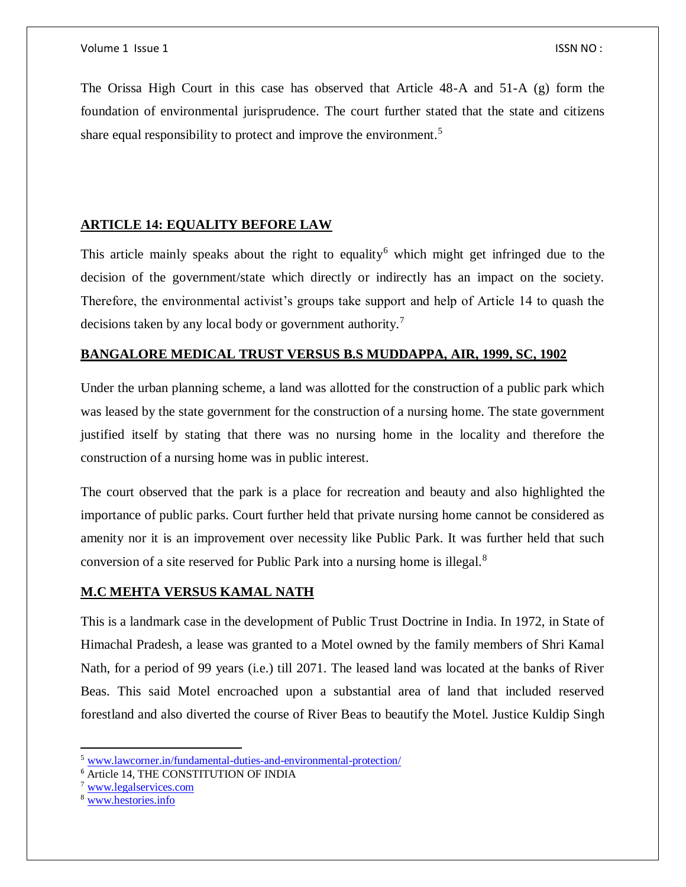The Orissa High Court in this case has observed that Article 48-A and 51-A (g) form the foundation of environmental jurisprudence. The court further stated that the state and citizens share equal responsibility to protect and improve the environment.<sup>5</sup>

#### **ARTICLE 14: EQUALITY BEFORE LAW**

This article mainly speaks about the right to equality<sup>6</sup> which might get infringed due to the decision of the government/state which directly or indirectly has an impact on the society. Therefore, the environmental activist's groups take support and help of Article 14 to quash the decisions taken by any local body or government authority.<sup>7</sup>

#### **BANGALORE MEDICAL TRUST VERSUS B.S MUDDAPPA, AIR, 1999, SC, 1902**

Under the urban planning scheme, a land was allotted for the construction of a public park which was leased by the state government for the construction of a nursing home. The state government justified itself by stating that there was no nursing home in the locality and therefore the construction of a nursing home was in public interest.

The court observed that the park is a place for recreation and beauty and also highlighted the importance of public parks. Court further held that private nursing home cannot be considered as amenity nor it is an improvement over necessity like Public Park. It was further held that such conversion of a site reserved for Public Park into a nursing home is illegal.<sup>8</sup>

#### **M.C MEHTA VERSUS KAMAL NATH**

This is a landmark case in the development of Public Trust Doctrine in India. In 1972, in State of Himachal Pradesh, a lease was granted to a Motel owned by the family members of Shri Kamal Nath, for a period of 99 years (i.e.) till 2071. The leased land was located at the banks of River Beas. This said Motel encroached upon a substantial area of land that included reserved forestland and also diverted the course of River Beas to beautify the Motel. Justice Kuldip Singh

 $\overline{a}$ 

<sup>5</sup> [www.lawcorner.in/fundamental-duties-and-environmental-protection/](http://www.lawcorner.in/fundamental-duties-and-environmental-protection/)

<sup>6</sup> Article 14, THE CONSTITUTION OF INDIA

<sup>7</sup> [www.legalservices.com](http://www.legalservices.com/)

<sup>8</sup> [www.hestories.info](http://www.hestories.info/)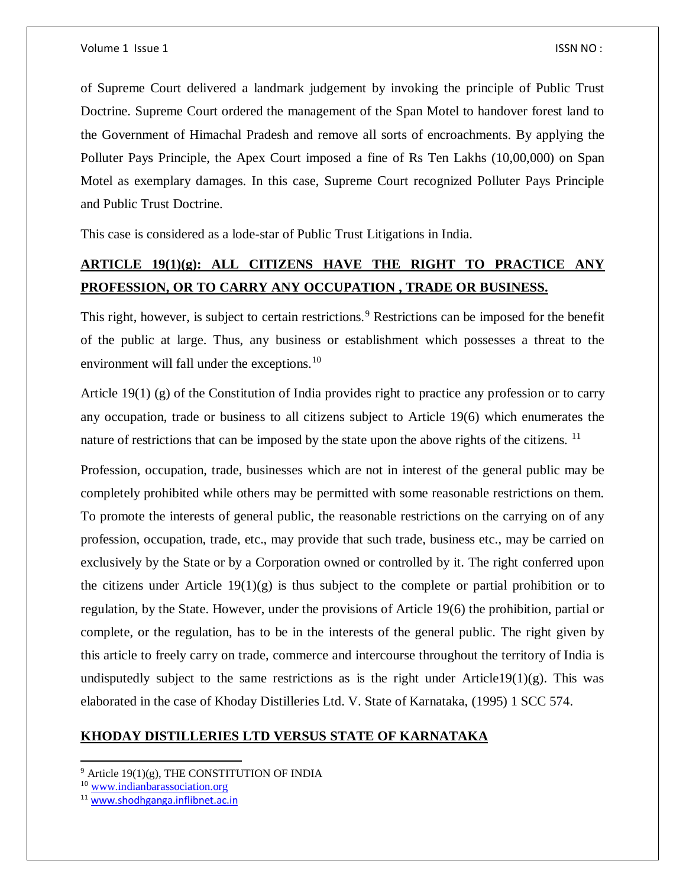of Supreme Court delivered a landmark judgement by invoking the principle of Public Trust Doctrine. Supreme Court ordered the management of the Span Motel to handover forest land to the Government of Himachal Pradesh and remove all sorts of encroachments. By applying the Polluter Pays Principle, the Apex Court imposed a fine of Rs Ten Lakhs (10,00,000) on Span Motel as exemplary damages. In this case, Supreme Court recognized Polluter Pays Principle and Public Trust Doctrine.

This case is considered as a lode-star of Public Trust Litigations in India.

## **ARTICLE 19(1)(g): ALL CITIZENS HAVE THE RIGHT TO PRACTICE ANY PROFESSION, OR TO CARRY ANY OCCUPATION , TRADE OR BUSINESS.**

This right, however, is subject to certain restrictions.<sup>9</sup> Restrictions can be imposed for the benefit of the public at large. Thus, any business or establishment which possesses a threat to the environment will fall under the exceptions.<sup>10</sup>

Article 19(1) (g) of the Constitution of India provides right to practice any profession or to carry any occupation, trade or business to all citizens subject to Article 19(6) which enumerates the nature of restrictions that can be imposed by the state upon the above rights of the citizens.  $11$ 

Profession, occupation, trade, businesses which are not in interest of the general public may be completely prohibited while others may be permitted with some reasonable restrictions on them. To promote the interests of general public, the reasonable restrictions on the carrying on of any profession, occupation, trade, etc., may provide that such trade, business etc., may be carried on exclusively by the State or by a Corporation owned or controlled by it. The right conferred upon the citizens under Article  $19(1)(g)$  is thus subject to the complete or partial prohibition or to regulation, by the State. However, under the provisions of Article 19(6) the prohibition, partial or complete, or the regulation, has to be in the interests of the general public. The right given by this article to freely carry on trade, commerce and intercourse throughout the territory of India is undisputedly subject to the same restrictions as is the right under Article19(1)(g). This was elaborated in the case of Khoday Distilleries Ltd. V. State of Karnataka, (1995) 1 SCC 574.

#### **KHODAY DISTILLERIES LTD VERSUS STATE OF KARNATAKA**

 $\overline{a}$  $9$  Article 19(1)(g), THE CONSTITUTION OF INDIA

<sup>10</sup> [www.indianbarassociation.org](http://www.indianbarassociation.org/)

<sup>11</sup> [www.shodhganga.inflibnet.ac.in](http://www.shodhganga.inflibnet.ac.in/)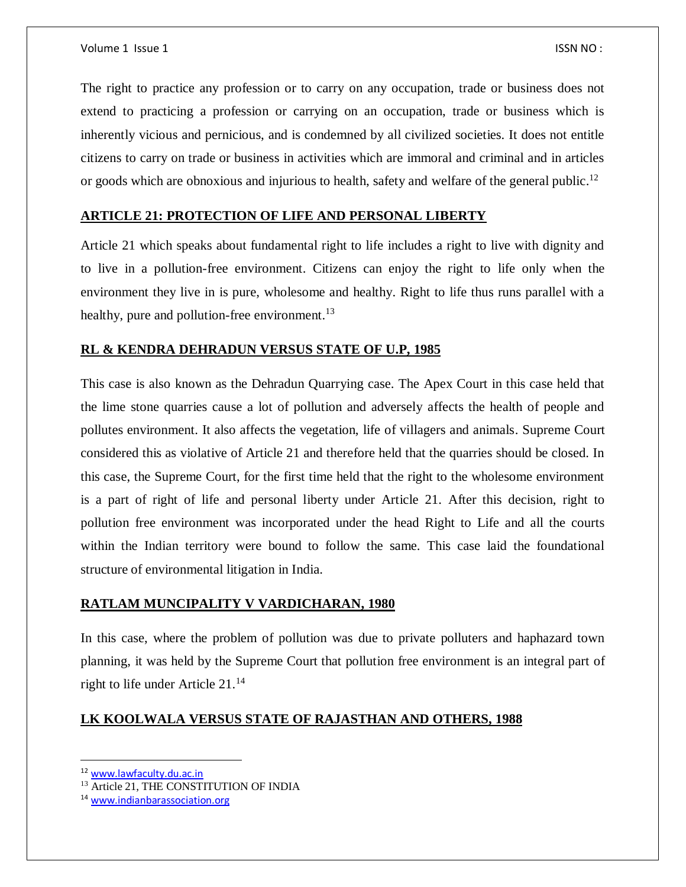The right to practice any profession or to carry on any occupation, trade or business does not extend to practicing a profession or carrying on an occupation, trade or business which is inherently vicious and pernicious, and is condemned by all civilized societies. It does not entitle citizens to carry on trade or business in activities which are immoral and criminal and in articles or goods which are obnoxious and injurious to health, safety and welfare of the general public.<sup>12</sup>

#### **ARTICLE 21: PROTECTION OF LIFE AND PERSONAL LIBERTY**

Article 21 which speaks about fundamental right to life includes a right to live with dignity and to live in a pollution-free environment. Citizens can enjoy the right to life only when the environment they live in is pure, wholesome and healthy. Right to life thus runs parallel with a healthy, pure and pollution-free environment. $^{13}$ 

#### **RL & KENDRA DEHRADUN VERSUS STATE OF U.P, 1985**

This case is also known as the Dehradun Quarrying case. The Apex Court in this case held that the lime stone quarries cause a lot of pollution and adversely affects the health of people and pollutes environment. It also affects the vegetation, life of villagers and animals. Supreme Court considered this as violative of Article 21 and therefore held that the quarries should be closed. In this case, the Supreme Court, for the first time held that the right to the wholesome environment is a part of right of life and personal liberty under Article 21. After this decision, right to pollution free environment was incorporated under the head Right to Life and all the courts within the Indian territory were bound to follow the same. This case laid the foundational structure of environmental litigation in India.

#### **RATLAM MUNCIPALITY V VARDICHARAN, 1980**

In this case, where the problem of pollution was due to private polluters and haphazard town planning, it was held by the Supreme Court that pollution free environment is an integral part of right to life under Article 21.<sup>14</sup>

#### **LK KOOLWALA VERSUS STATE OF RAJASTHAN AND OTHERS, 1988**

 $\overline{a}$ 

<sup>12</sup> [www.lawfaculty.du.ac.in](http://www.lawfaculty.du.ac.in/)

<sup>13</sup> Article 21, THE CONSTITUTION OF INDIA

<sup>14</sup> [www.indianbarassociation.org](http://www.indianbarassociation.org/)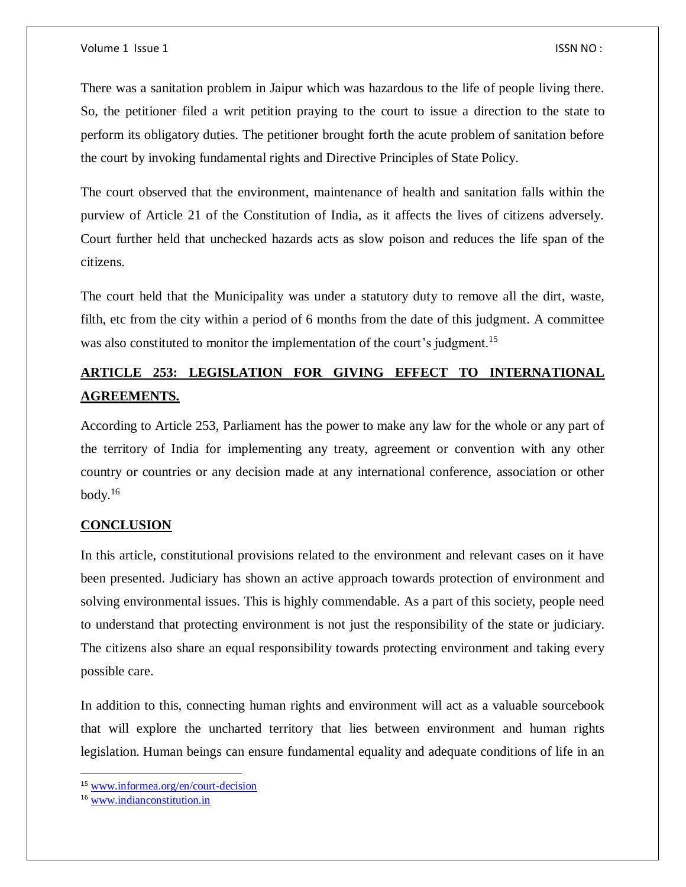There was a sanitation problem in Jaipur which was hazardous to the life of people living there. So, the petitioner filed a writ petition praying to the court to issue a direction to the state to perform its obligatory duties. The petitioner brought forth the acute problem of sanitation before the court by invoking fundamental rights and Directive Principles of State Policy.

The court observed that the environment, maintenance of health and sanitation falls within the purview of Article 21 of the Constitution of India, as it affects the lives of citizens adversely. Court further held that unchecked hazards acts as slow poison and reduces the life span of the citizens.

The court held that the Municipality was under a statutory duty to remove all the dirt, waste, filth, etc from the city within a period of 6 months from the date of this judgment. A committee was also constituted to monitor the implementation of the court's judgment.<sup>15</sup>

### **ARTICLE 253: LEGISLATION FOR GIVING EFFECT TO INTERNATIONAL AGREEMENTS.**

According to Article 253, Parliament has the power to make any law for the whole or any part of the territory of India for implementing any treaty, agreement or convention with any other country or countries or any decision made at any international conference, association or other body. $16$ 

#### **CONCLUSION**

In this article, constitutional provisions related to the environment and relevant cases on it have been presented. Judiciary has shown an active approach towards protection of environment and solving environmental issues. This is highly commendable. As a part of this society, people need to understand that protecting environment is not just the responsibility of the state or judiciary. The citizens also share an equal responsibility towards protecting environment and taking every possible care.

In addition to this, connecting human rights and environment will act as a valuable sourcebook that will explore the uncharted territory that lies between environment and human rights legislation. Human beings can ensure fundamental equality and adequate conditions of life in an

 $\overline{\phantom{a}}$ 

<sup>15</sup> [www.informea.org/en/court-decision](http://www.informea.org/en/court-decision)

<sup>16</sup> [www.indianconstitution.in](http://www.indianconstitution.in/)